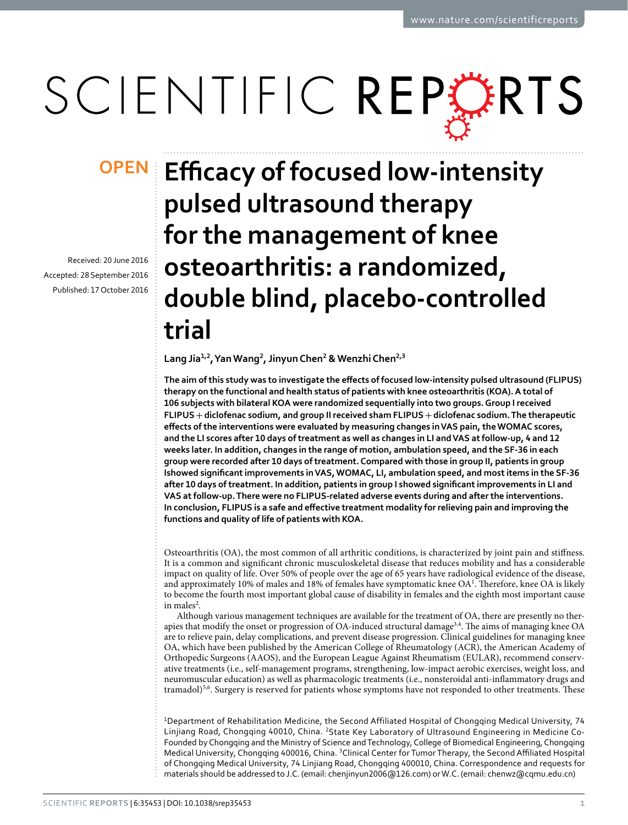# SCIENTIFIC REPERTS

Received: 20 June 2016 accepted: 28 September 2016 Published: 17 October 2016

## **Efficacy of focused low-intensity OPENpulsed ultrasound therapy for the management of knee osteoarthritis: a randomized, double blind, placebo-controlled trial**

Lang Jia<sup>1,2</sup>, Yan Wang<sup>2</sup>, Jinyun Chen<sup>2</sup> & Wenzhi Chen<sup>2,3</sup>

**The aim of this study was to investigate the effects of focused low-intensity pulsed ultrasound (FLIPUS) therapy on the functional and health status of patients with knee osteoarthritis (KOA). A total of 106 subjects with bilateral KOA were randomized sequentially into two groups. Group I received FLIPUS+diclofenac sodium, and group II received sham FLIPUS+diclofenac sodium. The therapeutic effects of the interventions were evaluated by measuring changes in VAS pain, the WOMAC scores, and the LI scores after 10 days of treatment as well as changes in LI and VAS at follow-up, 4 and 12 weeks later. In addition, changes in the range of motion, ambulation speed, and the SF-36 in each group were recorded after 10 days of treatment. Compared with those in group II, patients in group Ishowed significant improvements in VAS, WOMAC, LI, ambulation speed, and most items in the SF-36 after 10 days of treatment. In addition, patients in group I showed significant improvements in LI and VAS at follow-up. There were no FLIPUS-related adverse events during and after the interventions. In conclusion, FLIPUS is a safe and effective treatment modality for relieving pain and improving the functions and quality of life of patients with KOA.**

Osteoarthritis (OA), the most common of all arthritic conditions, is characterized by joint pain and stiffness. It is a common and significant chronic musculoskeletal disease that reduces mobility and has a considerable impact on quality of life. Over 50% of people over the age of 65 years have radiological evidence of the disease, and approximately 10% of males and 18% of females have symptomatic knee  $OA<sup>1</sup>$ . Therefore, knee OA is likely to become the fourth most important global cause of disability in females and the eighth most important cause in males<sup>[2](#page-6-1)</sup>.

Although various management techniques are available for the treatment of OA, there are presently no ther-apies that modify the onset or progression of OA-induced structural damage<sup>3,[4](#page-6-3)</sup>. The aims of managing knee OA are to relieve pain, delay complications, and prevent disease progression. Clinical guidelines for managing knee OA, which have been published by the American College of Rheumatology (ACR), the American Academy of Orthopedic Surgeons (AAOS), and the European League Against Rheumatism (EULAR), recommend conservative treatments (i.e., self-management programs, strengthening, low-impact aerobic exercises, weight loss, and neuromuscular education) as well as pharmacologic treatments (i.e., nonsteroidal anti-inflammatory drugs and tramadol)<sup>5,[6](#page-6-5)</sup>. Surgery is reserved for patients whose symptoms have not responded to other treatments. These

<sup>1</sup>Department of Rehabilitation Medicine, the Second Affiliated Hospital of Chongqing Medical University, 74 Linjiang Road, Chongqing 40010, China. <sup>2</sup>State Key Laboratory of Ultrasound Engineering in Medicine Co-Founded by Chongqing and the Ministry of Science and Technology, College of Biomedical Engineering, Chongqing Medical University, Chongqing 400016, China. 3Clinical Center for Tumor Therapy, the Second Affiliated Hospital of Chongqing Medical University, 74 Linjiang Road, Chongqing 400010, China. Correspondence and requests for materials should be addressed to J.C. (email: [chenjinyun2006@126.com](mailto:chenjinyun2006@126.com)) or W.C. (email: [chenwz@cqmu.edu.cn](mailto:chenwz@cqmu.edu.cn))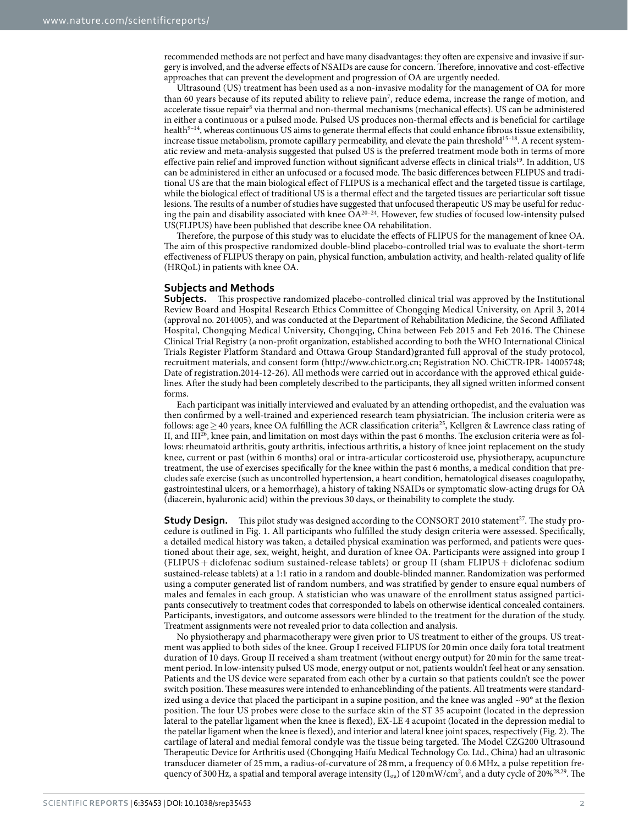recommended methods are not perfect and have many disadvantages: they often are expensive and invasive if surgery is involved, and the adverse effects of NSAIDs are cause for concern. Therefore, innovative and cost-effective approaches that can prevent the development and progression of OA are urgently needed.

Ultrasound (US) treatment has been used as a non-invasive modality for the management of OA for more than 60 years because of its reputed ability to relieve pai[n7](#page-6-6) , reduce edema, increase the range of motion, and accelerate tissue repair<sup>8</sup> via thermal and non-thermal mechanisms (mechanical effects). US can be administered in either a continuous or a pulsed mode. Pulsed US produces non-thermal effects and is beneficial for cartilage health<sup>[9–14](#page-6-8)</sup>, whereas continuous US aims to generate thermal effects that could enhance fibrous tissue extensibility, increase tissue metabolism, promote capillary permeability, and elevate the pain threshold<sup>15-18</sup>. A recent systematic review and meta-analysis suggested that pulsed US is the preferred treatment mode both in terms of more effective pain relief and improved function without significant adverse effects in clinical trials<sup>[19](#page-7-1)</sup>. In addition, US can be administered in either an unfocused or a focused mode. The basic differences between FLIPUS and traditional US are that the main biological effect of FLIPUS is a mechanical effect and the targeted tissue is cartilage, while the biological effect of traditional US is a thermal effect and the targeted tissues are periarticular soft tissue lesions. The results of a number of studies have suggested that unfocused therapeutic US may be useful for reducing the pain and disability associated with knee  $\widetilde{OA}^{20-24}$ . However, few studies of focused low-intensity pulsed US(FLIPUS) have been published that describe knee OA rehabilitation.

Therefore, the purpose of this study was to elucidate the effects of FLIPUS for the management of knee OA. The aim of this prospective randomized double-blind placebo-controlled trial was to evaluate the short-term effectiveness of FLIPUS therapy on pain, physical function, ambulation activity, and health-related quality of life (HRQoL) in patients with knee OA.

#### **Subjects and Methods**

**Subjects.** This prospective randomized placebo-controlled clinical trial was approved by the Institutional Review Board and Hospital Research Ethics Committee of Chongqing Medical University, on April 3, 2014 (approval no. 2014005), and was conducted at the Department of Rehabilitation Medicine, the Second Affiliated Hospital, Chongqing Medical University, Chongqing, China between Feb 2015 and Feb 2016. The Chinese Clinical Trial Registry (a non-profit organization, established according to both the WHO International Clinical Trials Register Platform Standard and Ottawa Group Standard)granted full approval of the study protocol, recruitment materials, and consent form (<http://www.chictr.org.cn>; Registration NO. ChiCTR-IPR- 14005748; Date of registration.2014-12-26). All methods were carried out in accordance with the approved ethical guidelines. After the study had been completely described to the participants, they all signed written informed consent forms.

Each participant was initially interviewed and evaluated by an attending orthopedist, and the evaluation was then confirmed by a well-trained and experienced research team physiatrician. The inclusion criteria were as follows: age > 40 years, knee OA fulfilling the ACR classification criteria<sup>[25](#page-7-3)</sup>, Kellgren & Lawrence class rating of II, and III[26](#page-7-4), knee pain, and limitation on most days within the past 6 months. The exclusion criteria were as follows: rheumatoid arthritis, gouty arthritis, infectious arthritis, a history of knee joint replacement on the study knee, current or past (within 6 months) oral or intra-articular corticosteroid use, physiotherapy, acupuncture treatment, the use of exercises specifically for the knee within the past 6 months, a medical condition that precludes safe exercise (such as uncontrolled hypertension, a heart condition, hematological diseases coagulopathy, gastrointestinal ulcers, or a hemorrhage), a history of taking NSAIDs or symptomatic slow-acting drugs for OA (diacerein, hyaluronic acid) within the previous 30 days, or theinability to complete the study.

**Study Design.** This pilot study was designed according to the CONSORT 2010 statement<sup>27</sup>. The study procedure is outlined in [Fig. 1.](#page-2-0) All participants who fulfilled the study design criteria were assessed. Specifically, a detailed medical history was taken, a detailed physical examination was performed, and patients were questioned about their age, sex, weight, height, and duration of knee OA. Participants were assigned into group I (FLIPUS + diclofenac sodium sustained-release tablets) or group II (sham FLIPUS + diclofenac sodium sustained-release tablets) at a 1:1 ratio in a random and double-blinded manner. Randomization was performed using a computer generated list of random numbers, and was stratified by gender to ensure equal numbers of males and females in each group. A statistician who was unaware of the enrollment status assigned participants consecutively to treatment codes that corresponded to labels on otherwise identical concealed containers. Participants, investigators, and outcome assessors were blinded to the treatment for the duration of the study. Treatment assignments were not revealed prior to data collection and analysis.

No physiotherapy and pharmacotherapy were given prior to US treatment to either of the groups. US treatment was applied to both sides of the knee. Group I received FLIPUS for 20min once daily fora total treatment duration of 10 days. Group II received a sham treatment (without energy output) for 20 min for the same treatment period. In low-intensity pulsed US mode, energy output or not, patients wouldn't feel heat or any sensation. Patients and the US device were separated from each other by a curtain so that patients couldn't see the power switch position. These measures were intended to enhanceblinding of the patients. All treatments were standardized using a device that placed the participant in a supine position, and the knee was angled  $\sim$ 90 $^{\circ}$  at the flexion position. The four US probes were close to the surface skin of the ST 35 acupoint (located in the depression lateral to the patellar ligament when the knee is flexed), EX-LE 4 acupoint (located in the depression medial to the patellar ligament when the knee is flexed), and interior and lateral knee joint spaces, respectively ([Fig. 2](#page-2-1)). The cartilage of lateral and medial femoral condyle was the tissue being targeted. The Model CZG200 Ultrasound Therapeutic Device for Arthritis used (Chongqing Haifu Medical Technology Co. Ltd., China) had an ultrasonic transducer diameter of 25 mm, a radius-of-curvature of 28 mm, a frequency of 0.6MHz, a pulse repetition frequency of 300 Hz, a spatial and temporal average intensity ( $I_{sta}$ ) of 120 mW/cm<sup>2</sup>, and a duty cycle of 20%<sup>[28](#page-7-6),[29](#page-7-7)</sup>. The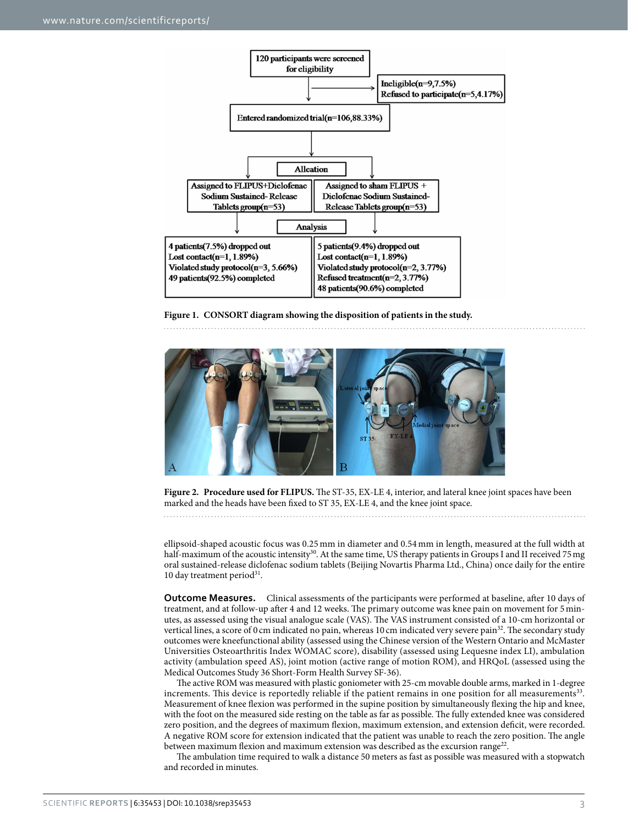

<span id="page-2-0"></span>**Figure 1. CONSORT diagram showing the disposition of patients in the study.** 



<span id="page-2-1"></span>**Figure 2. Procedure used for FLIPUS.** The ST-35, EX-LE 4, interior, and lateral knee joint spaces have been marked and the heads have been fixed to ST 35, EX-LE 4, and the knee joint space.

ellipsoid-shaped acoustic focus was 0.25 mm in diameter and 0.54 mm in length, measured at the full width at half-maximum of the acoustic intensity<sup>30</sup>. At the same time, US therapy patients in Groups I and II received 75 mg oral sustained-release diclofenac sodium tablets (Beijing Novartis Pharma Ltd., China) once daily for the entire 10 day treatment period<sup>31</sup>.

**Outcome Measures.** Clinical assessments of the participants were performed at baseline, after 10 days of treatment, and at follow-up after 4 and 12 weeks. The primary outcome was knee pain on movement for 5minutes, as assessed using the visual analogue scale (VAS). The VAS instrument consisted of a 10-cm horizontal or vertical lines, a score of 0 cm indicated no pain, whereas 10 cm indicated very severe pain<sup>[32](#page-7-10)</sup>. The secondary study outcomes were kneefunctional ability (assessed using the Chinese version of the Western Ontario and McMaster Universities Osteoarthritis Index WOMAC score), disability (assessed using Lequesne index LI), ambulation activity (ambulation speed AS), joint motion (active range of motion ROM), and HRQoL (assessed using the Medical Outcomes Study 36 Short-Form Health Survey SF-36).

The active ROM was measured with plastic goniometer with 25-cm movable double arms, marked in 1-degree increments. This device is reportedly reliable if the patient remains in one position for all measurements<sup>33</sup>. Measurement of knee flexion was performed in the supine position by simultaneously flexing the hip and knee, with the foot on the measured side resting on the table as far as possible. The fully extended knee was considered zero position, and the degrees of maximum flexion, maximum extension, and extension deficit, were recorded. A negative ROM score for extension indicated that the patient was unable to reach the zero position. The angle between maximum flexion and maximum extension was described as the excursion range<sup>22</sup>.

The ambulation time required to walk a distance 50 meters as fast as possible was measured with a stopwatch and recorded in minutes.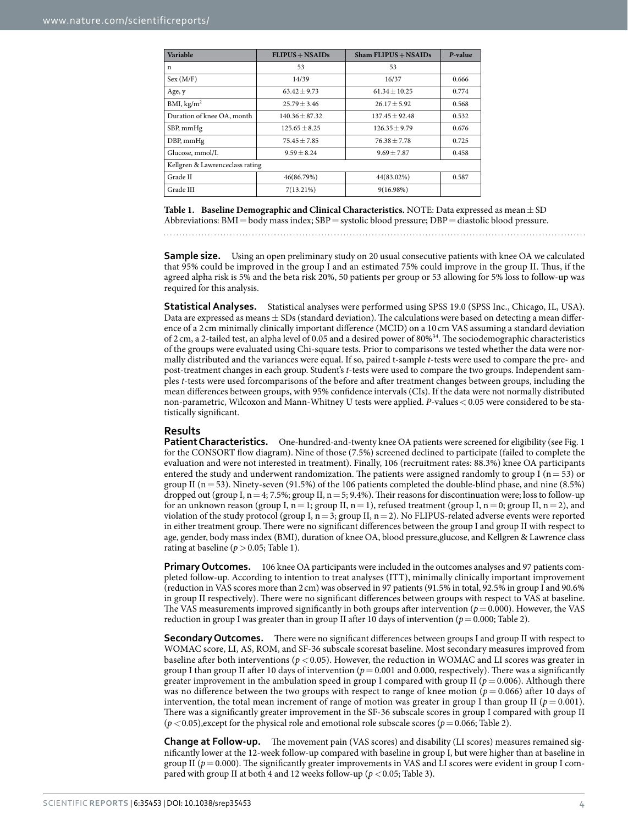<span id="page-3-0"></span>

| Variable                        | $FLIPUS + NSAIDS$ | $Sham$ FLIPUS + NSAIDs | P-value |  |  |  |  |
|---------------------------------|-------------------|------------------------|---------|--|--|--|--|
| n                               | 53                | 53                     |         |  |  |  |  |
| Sex (M/F)                       | 14/39             | 16/37                  | 0.666   |  |  |  |  |
| Age, y                          | $63.42 + 9.73$    | $61.34 + 10.25$        | 0.774   |  |  |  |  |
| BMI, $\text{kg/m}^2$            | $25.79 + 3.46$    | $26.17 + 5.92$         | 0.568   |  |  |  |  |
| Duration of knee OA, month      | $140.36 + 87.32$  | $137.45 + 92.48$       | 0.532   |  |  |  |  |
| SBP, mmHg                       | $125.65 + 8.25$   | $126.35 + 9.79$        | 0.676   |  |  |  |  |
| DBP, mmHg                       | $75.45 + 7.85$    | $76.38 + 7.78$         | 0.725   |  |  |  |  |
| Glucose, mmol/L                 | $9.59 + 8.24$     | $9.69 \pm 7.87$        | 0.458   |  |  |  |  |
| Kellgren & Lawrenceclass rating |                   |                        |         |  |  |  |  |
| Grade II                        | 46(86.79%)        | 44(83.02%)             |         |  |  |  |  |
| Grade III                       | $7(13.21\%)$      | $9(16.98\%)$           |         |  |  |  |  |

Table 1. Baseline Demographic and Clinical Characteristics. NOTE: Data expressed as mean  $\pm$  SD Abbreviations: BMI=body mass index; SBP=systolic blood pressure; DBP=diastolic blood pressure.

**Sample size.** Using an open preliminary study on 20 usual consecutive patients with knee OA we calculated that 95% could be improved in the group I and an estimated 75% could improve in the group II. Thus, if the agreed alpha risk is 5% and the beta risk 20%, 50 patients per group or 53 allowing for 5% loss to follow-up was required for this analysis.

**Statistical Analyses.** Statistical analyses were performed using SPSS 19.0 (SPSS Inc., Chicago, IL, USA). Data are expressed as means  $\pm$  SDs (standard deviation). The calculations were based on detecting a mean difference of a 2 cm minimally clinically important difference (MCID) on a 10 cm VAS assuming a standard deviation of 2 cm, a 2-tailed test, an alpha level of 0.05 and a desired power of 80[%34.](#page-7-13) The sociodemographic characteristics of the groups were evaluated using Chi-square tests. Prior to comparisons we tested whether the data were normally distributed and the variances were equal. If so, paired t-sample *t*-tests were used to compare the pre- and post-treatment changes in each group. Student's *t*-tests were used to compare the two groups. Independent samples *t*-tests were used forcomparisons of the before and after treatment changes between groups, including the mean differences between groups, with 95% confidence intervals (CIs). If the data were not normally distributed non-parametric, Wilcoxon and Mann-Whitney U tests were applied. *P*-values< 0.05 were considered to be statistically significant.

### **Results**

**Patient Characteristics.** One-hundred-and-twenty knee OA patients were screened for eligibility (see Fig. 1) for the CONSORT flow diagram). Nine of those (7.5%) screened declined to participate (failed to complete the evaluation and were not interested in treatment). Finally, 106 (recruitment rates: 88.3%) knee OA participants entered the study and underwent randomization. The patients were assigned randomly to group I ( $n=53$ ) or group II (n= 53). Ninety-seven (91.5%) of the 106 patients completed the double-blind phase, and nine (8.5%) dropped out (group I,  $n = 4$ ; 7.5%; group II,  $n = 5$ ; 9.4%). Their reasons for discontinuation were; loss to follow-up for an unknown reason (group I,  $n=1$ ; group II,  $n=1$ ), refused treatment (group I,  $n=0$ ; group II,  $n=2$ ), and violation of the study protocol (group I,  $n=3$ ; group II,  $n=2$ ). No FLIPUS-related adverse events were reported in either treatment group. There were no significant differences between the group I and group II with respect to age, gender, body mass index (BMI), duration of knee OA, blood pressure,glucose, and Kellgren & Lawrence class rating at baseline ( $p > 0.05$ ; [Table 1](#page-3-0)).

**Primary Outcomes.** 106 knee OA participants were included in the outcomes analyses and 97 patients completed follow-up. According to intention to treat analyses (ITT), minimally clinically important improvement (reduction in VAS scores more than 2 cm) was observed in 97 patients (91.5% in total, 92.5% in group I and 90.6% in group II respectively). There were no significant differences between groups with respect to VAS at baseline. The VAS measurements improved significantly in both groups after intervention ( $p = 0.000$ ). However, the VAS reduction in group I was greater than in group II after 10 days of intervention (*p*=0.000; [Table 2](#page-4-0)).

**Secondary Outcomes.** There were no significant differences between groups I and group II with respect to WOMAC score, LI, AS, ROM, and SF-36 subscale scoresat baseline. Most secondary measures improved from baseline after both interventions (*p<*0.05). However, the reduction in WOMAC and LI scores was greater in group I than group II after 10 days of intervention ( $p = 0.001$  and 0.000, respectively). There was a significantly greater improvement in the ambulation speed in group I compared with group II ( $p = 0.006$ ). Although there was no difference between the two groups with respect to range of knee motion ( $p = 0.066$ ) after 10 days of intervention, the total mean increment of range of motion was greater in group I than group II ( $p = 0.001$ ). There was a significantly greater improvement in the SF-36 subscale scores in group I compared with group II  $(p < 0.05)$ , except for the physical role and emotional role subscale scores ( $p = 0.066$ ; [Table 2\)](#page-4-0).

**Change at Follow-up.** The movement pain (VAS scores) and disability (LI scores) measures remained significantly lower at the 12-week follow-up compared with baseline in group I, but were higher than at baseline in group II ( $p = 0.000$ ). The significantly greater improvements in VAS and LI scores were evident in group I compared with group II at both 4 and 12 weeks follow-up (*p<*0.05; [Table 3](#page-4-1)).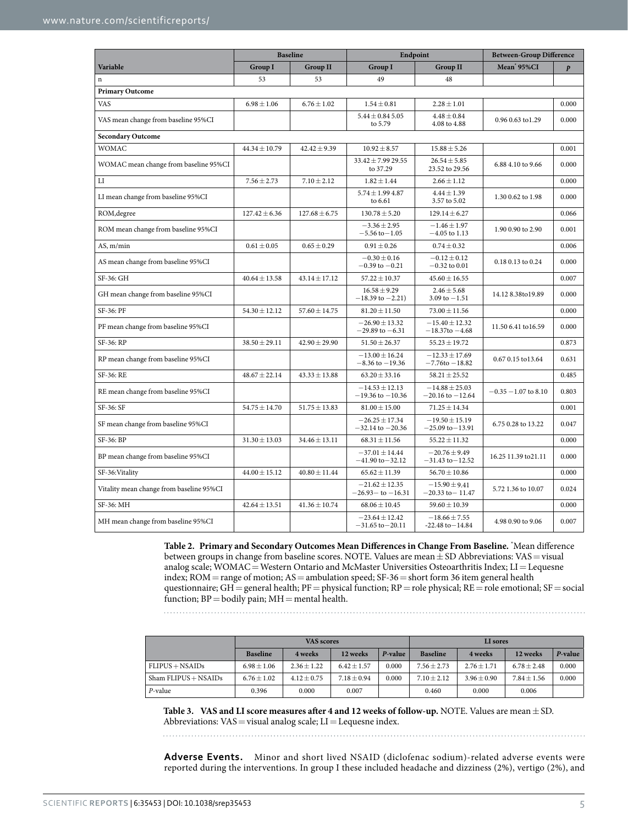<span id="page-4-0"></span>

|                                          | <b>Baseline</b>   |                   | Endpoint                                     |                                            | <b>Between-Group Difference</b> |                  |  |  |
|------------------------------------------|-------------------|-------------------|----------------------------------------------|--------------------------------------------|---------------------------------|------------------|--|--|
| Variable                                 | <b>Group I</b>    | <b>Group II</b>   | <b>Group I</b>                               | <b>Group II</b>                            | Mean 95%CI                      | $\boldsymbol{p}$ |  |  |
| $\mathbf n$                              | 53                | 53                | 49                                           | 48                                         |                                 |                  |  |  |
| <b>Primary Outcome</b>                   |                   |                   |                                              |                                            |                                 |                  |  |  |
| <b>VAS</b>                               | $6.98 \pm 1.06$   | $6.76 \pm 1.02$   | $1.54 \pm 0.81$                              | $2.28 \pm 1.01$                            |                                 | 0.000            |  |  |
| VAS mean change from baseline 95%CI      |                   |                   | $5.44 \pm 0.84$ 5.05<br>to 5.79              | $4.48 \pm 0.84$<br>4.08 to 4.88            | 0.96 0.63 to 1.29               | 0.000            |  |  |
| <b>Secondary Outcome</b>                 |                   |                   |                                              |                                            |                                 |                  |  |  |
| <b>WOMAC</b>                             | $44.34 \pm 10.79$ | $42.42 \pm 9.39$  | $10.92 \pm 8.57$                             | $15.88 \pm 5.26$                           |                                 | 0.001            |  |  |
| WOMAC mean change from baseline 95%CI    |                   |                   | $33.42 \pm 7.9929.55$<br>to 37.29            | $26.54 \pm 5.85$<br>23.52 to 29.56         | 6.88 4.10 to 9.66               | 0.000            |  |  |
| $_{\rm LI}$                              | $7.56 \pm 2.73$   | $7.10 \pm 2.12$   | $1.82 \pm 1.44$                              | $2.66 \pm 1.12$                            |                                 | 0.000            |  |  |
| LI mean change from baseline 95%CI       |                   |                   | $5.74 \pm 1.99$ 4.87<br>to 6.61              | $4.44 \pm 1.39$<br>3.57 to 5.02            | 1.30 0.62 to 1.98               | 0.000            |  |  |
| ROM, degree                              | $127.42 \pm 6.36$ | $127.68 \pm 6.75$ | $130.78 \pm 5.20$                            | $129.14 \pm 6.27$                          |                                 | 0.066            |  |  |
| ROM mean change from baseline 95%CI      |                   |                   | $-3.36 \pm 2.95$<br>$-5.56$ to $-1.05$       | $-1.46 \pm 1.97$<br>$-4.05$ to 1.13        | 1.90 0.90 to 2.90               | 0.001            |  |  |
| AS, m/min                                | $0.61 \pm 0.05$   | $0.65 \pm 0.29$   | $0.91 \pm 0.26$                              | $0.74 \pm 0.32$                            |                                 | 0.006            |  |  |
| AS mean change from baseline 95%CI       |                   |                   | $-0.30 \pm 0.16$<br>$-0.39$ to $-0.21$       | $-0.12 \pm 0.12$<br>$-0.32$ to 0.01        | 0.18 0.13 to 0.24               | 0.000            |  |  |
| SF-36: GH                                | $40.64 \pm 13.58$ | $43.14 \pm 17.12$ | $57.22 \pm 10.37$                            | $45.60 \pm 16.55$                          |                                 | 0.007            |  |  |
| GH mean change from baseline 95%CI       |                   |                   | $16.58 \pm 9.29$<br>$-18.39$ to $-2.21$ )    | $2.46 \pm 5.68$<br>3.09 to $-1.51$         | 14.12 8.38to19.89               | 0.000            |  |  |
| SF-36: PF                                | $54.30 \pm 12.12$ | $57.60 \pm 14.75$ | $81.20 \pm 11.50$                            | $73.00 \pm 11.56$                          |                                 | 0.000            |  |  |
| PF mean change from baseline 95%CI       |                   |                   | $-26.90 \pm 13.32$<br>$-29.89$ to $-6.31$    | $-15.40 \pm 12.32$<br>$-18.37$ to $-4.68$  | 11.50 6.41 to 16.59             | 0.000            |  |  |
| SF-36: RP                                | $38.50 \pm 29.11$ | $42.90 \pm 29.90$ | $51.50 \pm 26.37$                            | $55.23 \pm 19.72$                          |                                 | 0.873            |  |  |
| RP mean change from baseline 95%CI       |                   |                   | $-13.00 \pm 16.24$<br>$-8.36$ to $-19.36$    | $-12.33 \pm 17.69$<br>$-7.76$ to $-18.82$  | 0.67 0.15 to 13.64              | 0.631            |  |  |
| SF-36: RE                                | $48.67 \pm 22.14$ | $43.33 \pm 13.88$ | $63.20 \pm 33.16$                            | $58.21 \pm 25.52$                          |                                 | 0.485            |  |  |
| RE mean change from baseline 95%CI       |                   |                   | $-14.53 \pm 12.13$<br>$-19.36$ to $-10.36$   | $-14.88 \pm 25.03$<br>$-20.16$ to $-12.64$ | $-0.35 - 1.07$ to 8.10          | 0.803            |  |  |
| SF-36: SF                                | $54.75 \pm 14.70$ | $51.75 \pm 13.83$ | $81.00 \pm 15.00$                            | $71.25 \pm 14.34$                          |                                 | 0.001            |  |  |
| SF mean change from baseline 95%CI       |                   |                   | $-26.25 \pm 17.34$<br>$-32.14$ to $-20.36$   | $-19.50 \pm 15.19$<br>$-25.09$ to $-13.91$ | 6.75 0.28 to 13.22              | 0.047            |  |  |
| SF-36: BP                                | $31.30 \pm 13.03$ | $34.46 \pm 13.11$ | $68.31 \pm 11.56$                            | $55.22 \pm 11.32$                          |                                 | 0.000            |  |  |
| BP mean change from baseline 95%CI       |                   |                   | $-37.01 \pm 14.44$<br>$-41.90$ to $-32.12$   | $-20.76 \pm 9.49$<br>$-31.43$ to $-12.52$  | 16.25 11.39 to 21.11            | 0.000            |  |  |
| SF-36: Vitality                          | $44.00 \pm 15.12$ | $40.80 \pm 11.44$ | $65.62 \pm 11.39$                            | $56.70 \pm 10.86$                          |                                 | 0.000            |  |  |
| Vitality mean change from baseline 95%CI |                   |                   | $-21.62 \pm 12.35$<br>$-26.93 -$ to $-16.31$ | $-15.90 \pm 9.41$<br>$-20.33$ to $-11.47$  | 5.72 1.36 to 10.07              | 0.024            |  |  |
| SF-36: MH                                | $42.64 \pm 13.51$ | $41.36 \pm 10.74$ | $68.06 \pm 10.45$                            | $59.60 \pm 10.39$                          |                                 | 0.000            |  |  |
| MH mean change from baseline 95%CI       |                   |                   | $-23.64 \pm 12.42$<br>$-31.65$ to $-20.11$   | $-18.66 \pm 7.55$<br>$-22.48$ to $-14.84$  | 4.98 0.90 to 9.06               | 0.007            |  |  |

**Table 2. Primary and Secondary Outcomes Mean Differences in Change From Baseline.** \* Mean difference between groups in change from baseline scores. NOTE. Values are mean  $\pm$  SD Abbreviations: VAS = visual analog scale;  $\text{WOMAC}$  = Western Ontario and McMaster Universities Osteoarthritis Index; LI = Lequesne index;  $ROM = range$  of motion;  $AS =$  ambulation speed;  $SF-36 =$  short form 36 item general health questionnaire; GH=general health; PF=physical function; RP=role physical; RE=role emotional; SF=social function;  $BP =$  bodily pain;  $MH =$  mental health.

. . . . . . . . . . . . . . .

<span id="page-4-1"></span>

|                          | VAS scores      |               |               | LI sores |                 |                 |                 |         |
|--------------------------|-----------------|---------------|---------------|----------|-----------------|-----------------|-----------------|---------|
|                          | <b>Baseline</b> | 4 weeks       | 12 weeks      | P-value  | <b>Baseline</b> | 4 weeks         | 12 weeks        | P-value |
| $FLIPUS + NSAIDS$        | $6.98 + 1.06$   | $2.36 + 1.22$ | $6.42 + 1.57$ | 0.000    | $7.56 \pm 2.73$ | $2.76 \pm 1.71$ | $6.78 + 2.48$   | 0.000   |
| $Sham$ FLIPUS $+$ NSAIDs | $6.76 \pm 1.02$ | $4.12 + 0.75$ | $7.18 + 0.94$ | 0.000    | $7.10 + 2.12$   | $3.96 \pm 0.90$ | $7.84 \pm 1.56$ | 0.000   |
| P-value                  | 0.396           | 0.000         | 0.007         |          | 0.460           | 0.000           | 0.006           |         |

**Table 3. VAS and LI score measures after 4 and 12 weeks of follow-up.** NOTE. Values are mean±SD. Abbreviations:  $VAS =$  visual analog scale;  $LI =$  Lequesne index.

**Adverse Events.** Minor and short lived NSAID (diclofenac sodium)-related adverse events were reported during the interventions. In group I these included headache and dizziness (2%), vertigo (2%), and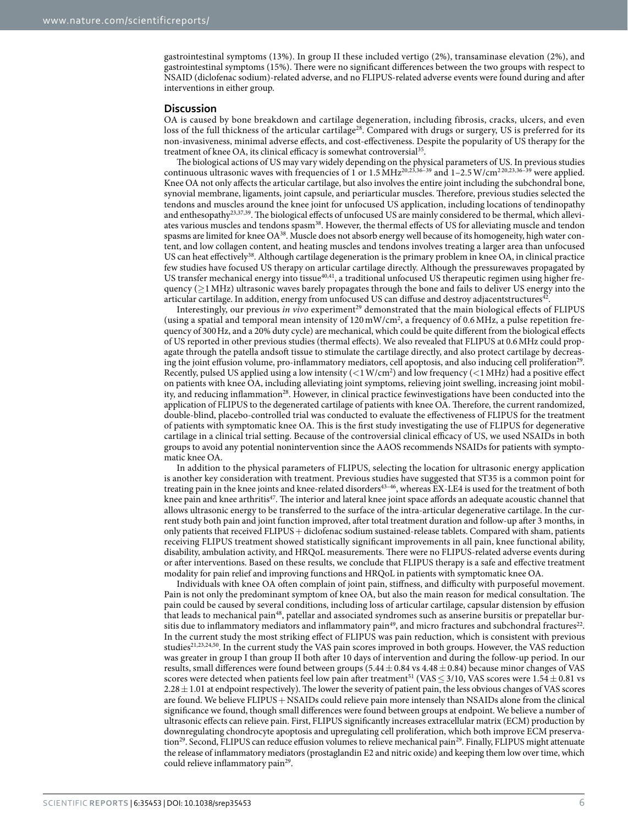gastrointestinal symptoms (13%). In group II these included vertigo (2%), transaminase elevation (2%), and gastrointestinal symptoms (15%). There were no significant differences between the two groups with respect to NSAID (diclofenac sodium)-related adverse, and no FLIPUS-related adverse events were found during and after interventions in either group.

#### **Discussion**

OA is caused by bone breakdown and cartilage degeneration, including fibrosis, cracks, ulcers, and even loss of the full thickness of the articular cartilage<sup>28</sup>. Compared with drugs or surgery, US is preferred for its non-invasiveness, minimal adverse effects, and cost-effectiveness. Despite the popularity of US therapy for the treatment of knee OA, its clinical efficacy is somewhat controversial<sup>35</sup>.

The biological actions of US may vary widely depending on the physical parameters of US. In previous studies continuous ultrasonic waves with frequencies of 1 or  $1.5 \text{ MHz}^{20,23,36-39}$  $1.5 \text{ MHz}^{20,23,36-39}$  $1.5 \text{ MHz}^{20,23,36-39}$  $1.5 \text{ MHz}^{20,23,36-39}$  and  $1-2.5 \text{ W/cm}^{220,23,36-39}$  $1-2.5 \text{ W/cm}^{220,23,36-39}$  $1-2.5 \text{ W/cm}^{220,23,36-39}$  $1-2.5 \text{ W/cm}^{220,23,36-39}$  $1-2.5 \text{ W/cm}^{220,23,36-39}$  were applied. Knee OA not only affects the articular cartilage, but also involves the entire joint including the subchondral bone, synovial membrane, ligaments, joint capsule, and periarticular muscles. Therefore, previous studies selected the tendons and muscles around the knee joint for unfocused US application, including locations of tendinopathy and enthesopath[y23](#page-7-15)[,37](#page-7-17)[,39.](#page-7-18) The biological effects of unfocused US are mainly considered to be thermal, which alleviates various muscles and tendons spasm<sup>38</sup>. However, the thermal effects of US for alleviating muscle and tendon spasms are limited for knee  $OA^{38}$  $OA^{38}$  $OA^{38}$ . Muscle does not absorb energy well because of its homogeneity, high water content, and low collagen content, and heating muscles and tendons involves treating a larger area than unfocused US can heat effectively<sup>38</sup>. Although cartilage degeneration is the primary problem in knee OA, in clinical practice few studies have focused US therapy on articular cartilage directly. Although the pressurewaves propagated by US transfer mechanical energy into tissue[40](#page-7-20),[41](#page-7-21), a traditional unfocused US therapeutic regimen using higher frequency ( $\geq$ 1 MHz) ultrasonic waves barely propagates through the bone and fails to deliver US energy into the articular cartilage. In addition, energy from unfocused US can diffuse and destroy adjacentstructures<sup>[42](#page-7-22)</sup>

Interestingly, our previous *in vivo* experiment<sup>29</sup> demonstrated that the main biological effects of FLIPUS (using a spatial and temporal mean intensity of  $120 \text{ mW/cm}^2$ , a frequency of 0.6 MHz, a pulse repetition frequency of 300Hz, and a 20% duty cycle) are mechanical, which could be quite different from the biological effects of US reported in other previous studies (thermal effects). We also revealed that FLIPUS at 0.6MHz could propagate through the patella andsoft tissue to stimulate the cartilage directly, and also protect cartilage by decreasing the joint effusion volume, pro-inflammatory mediators, cell apoptosis, and also inducing cell proliferation<sup>29</sup>. Recently, pulsed US applied using a low intensity  $(<1 W/cm<sup>2</sup>)$  and low frequency  $(<1 MHz)$  had a positive effect on patients with knee OA, including alleviating joint symptoms, relieving joint swelling, increasing joint mobility, and reducing inflammation<sup>28</sup>. However, in clinical practice fewinvestigations have been conducted into the application of FLIPUS to the degenerated cartilage of patients with knee OA. Therefore, the current randomized, double-blind, placebo-controlled trial was conducted to evaluate the effectiveness of FLIPUS for the treatment of patients with symptomatic knee OA. This is the first study investigating the use of FLIPUS for degenerative cartilage in a clinical trial setting. Because of the controversial clinical efficacy of US, we used NSAIDs in both groups to avoid any potential nonintervention since the AAOS recommends NSAIDs for patients with symptomatic knee OA.

In addition to the physical parameters of FLIPUS, selecting the location for ultrasonic energy application is another key consideration with treatment. Previous studies have suggested that ST35 is a common point for treating pain in the knee joints and knee-related disorders<sup>43-46</sup>, whereas EX-LE4 is used for the treatment of both knee pain and knee arthritis<sup>[47](#page-7-24)</sup>. The interior and lateral knee joint space affords an adequate acoustic channel that allows ultrasonic energy to be transferred to the surface of the intra-articular degenerative cartilage. In the current study both pain and joint function improved, after total treatment duration and follow-up after 3 months, in only patients that received FLIPUS + diclofenac sodium sustained-release tablets. Compared with sham, patients receiving FLIPUS treatment showed statistically significant improvements in all pain, knee functional ability, disability, ambulation activity, and HRQoL measurements. There were no FLIPUS-related adverse events during or after interventions. Based on these results, we conclude that FLIPUS therapy is a safe and effective treatment modality for pain relief and improving functions and HRQoL in patients with symptomatic knee OA.

Individuals with knee OA often complain of joint pain, stiffness, and difficulty with purposeful movement. Pain is not only the predominant symptom of knee OA, but also the main reason for medical consultation. The pain could be caused by several conditions, including loss of articular cartilage, capsular distension by effusion that leads to mechanical pain<sup>[48](#page-7-25)</sup>, patellar and associated syndromes such as anserine bursitis or prepatellar bur-sitis due to inflammatory mediators and inflammatory pain<sup>[49](#page-7-26)</sup>, and micro fractures and subchondral fractures<sup>22</sup>. In the current study the most striking effect of FLIPUS was pain reduction, which is consistent with previous studies<sup>[21](#page-7-27),[23](#page-7-15),[24](#page-7-28),[50](#page-7-29)</sup>. In the current study the VAS pain scores improved in both groups. However, the VAS reduction was greater in group I than group II both after 10 days of intervention and during the follow-up period. In our results, small differences were found between groups  $(5.44 \pm 0.84 \text{ vs } 4.48 \pm 0.84)$  because minor changes of VAS scores were detected when patients feel low pain after treatment<sup>51</sup> (VAS  $\leq$  3/10, VAS scores were 1.54  $\pm$  0.81 vs  $2.28 \pm 1.01$  at endpoint respectively). The lower the severity of patient pain, the less obvious changes of VAS scores are found. We believe FLIPUS + NSAIDs could relieve pain more intensely than NSAIDs alone from the clinical significance we found, though small differences were found between groups at endpoint. We believe a number of ultrasonic effects can relieve pain. First, FLIPUS significantly increases extracellular matrix (ECM) production by downregulating chondrocyte apoptosis and upregulating cell proliferation, which both improve ECM preservation<sup>29</sup>. Second, FLIPUS can reduce effusion volumes to relieve mechanical pain<sup>29</sup>. Finally, FLIPUS might attenuate the release of inflammatory mediators (prostaglandin E2 and nitric oxide) and keeping them low over time, which could relieve inflammatory pain<sup>29</sup>.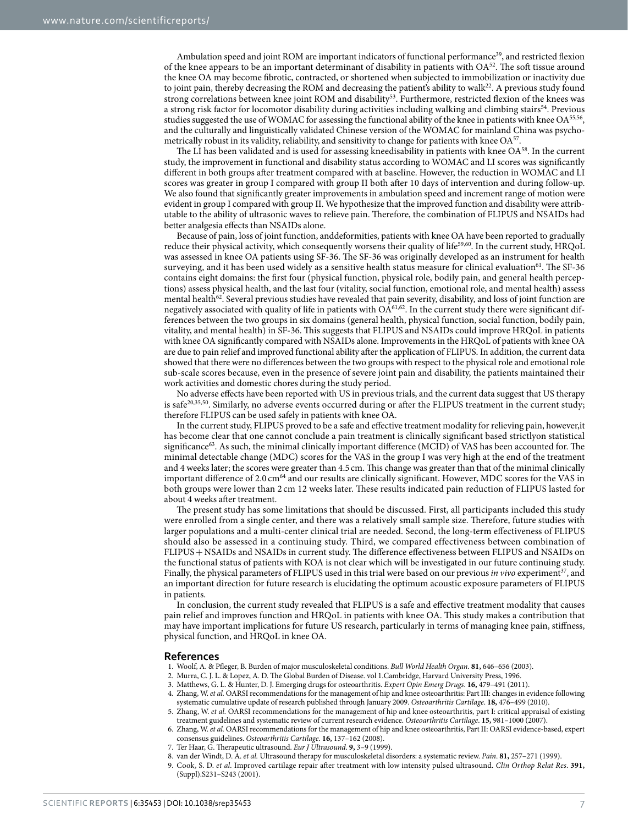Ambulation speed and joint ROM are important indicators of functional performance<sup>39</sup>, and restricted flexion of the knee appears to be an important determinant of disability in patients with  $OA<sup>52</sup>$ . The soft tissue around the knee OA may become fibrotic, contracted, or shortened when subjected to immobilization or inactivity due to joint pain, thereby decreasing the ROM and decreasing the patient's ability to walk<sup>[22](#page-7-12)</sup>. A previous study found strong correlations between knee joint ROM and disability<sup>[53](#page-8-1)</sup>. Furthermore, restricted flexion of the knees was a strong risk factor for locomotor disability during activities including walking and climbing stairs<sup>54</sup>. Previous studies suggested the use of WOMAC for assessing the functional ability of the knee in patients with knee OA<sup>55,56</sup>, and the culturally and linguistically validated Chinese version of the WOMAC for mainland China was psychometrically robust in its validity, reliability, and sensitivity to change for patients with knee OA[57](#page-8-5).

The LI has been validated and is used for assessing kneedisability in patients with knee OA[58](#page-8-6). In the current study, the improvement in functional and disability status according to WOMAC and LI scores was significantly different in both groups after treatment compared with at baseline. However, the reduction in WOMAC and LI scores was greater in group I compared with group II both after 10 days of intervention and during follow-up. We also found that significantly greater improvements in ambulation speed and increment range of motion were evident in group I compared with group II. We hypothesize that the improved function and disability were attributable to the ability of ultrasonic waves to relieve pain. Therefore, the combination of FLIPUS and NSAIDs had better analgesia effects than NSAIDs alone.

Because of pain, loss of joint function, anddeformities, patients with knee OA have been reported to gradually reduce their physical activity, which consequently worsens their quality of life<sup>59,60</sup>. In the current study, HRQoL was assessed in knee OA patients using SF-36. The SF-36 was originally developed as an instrument for health surveying, and it has been used widely as a sensitive health status measure for clinical evaluation<sup>61</sup>. The SF-36 contains eight domains: the first four (physical function, physical role, bodily pain, and general health perceptions) assess physical health, and the last four (vitality, social function, emotional role, and mental health) assess mental health<sup>62</sup>. Several previous studies have revealed that pain severity, disability, and loss of joint function are negatively associated with quality of life in patients with OA<sup>[61](#page-8-9),[62](#page-8-10)</sup>. In the current study there were significant differences between the two groups in six domains (general health, physical function, social function, bodily pain, vitality, and mental health) in SF-36. This suggests that FLIPUS and NSAIDs could improve HRQoL in patients with knee OA significantly compared with NSAIDs alone. Improvements in the HRQoL of patients with knee OA are due to pain relief and improved functional ability after the application of FLIPUS. In addition, the current data showed that there were no differences between the two groups with respect to the physical role and emotional role sub-scale scores because, even in the presence of severe joint pain and disability, the patients maintained their work activities and domestic chores during the study period.

No adverse effects have been reported with US in previous trials, and the current data suggest that US therapy is safe<sup>[20](#page-7-2),[35](#page-7-14),50</sup>. Similarly, no adverse events occurred during or after the FLIPUS treatment in the current study; therefore FLIPUS can be used safely in patients with knee OA.

In the current study, FLIPUS proved to be a safe and effective treatment modality for relieving pain, however,it has become clear that one cannot conclude a pain treatment is clinically significant based strictlyon statistical significance<sup>63</sup>. As such, the minimal clinically important difference (MCID) of VAS has been accounted for. The minimal detectable change (MDC) scores for the VAS in the group I was very high at the end of the treatment and 4 weeks later; the scores were greater than 4.5 cm. This change was greater than that of the minimal clinically important difference of 2.0 cm<sup>64</sup> and our results are clinically significant. However, MDC scores for the VAS in both groups were lower than 2 cm 12 weeks later. These results indicated pain reduction of FLIPUS lasted for about 4 weeks after treatment.

The present study has some limitations that should be discussed. First, all participants included this study were enrolled from a single center, and there was a relatively small sample size. Therefore, future studies with larger populations and a multi-center clinical trial are needed. Second, the long-term effectiveness of FLIPUS should also be assessed in a continuing study. Third, we compared effectiveness between combination of FLIPUS+ NSAIDs and NSAIDs in current study. The difference effectiveness between FLIPUS and NSAIDs on the functional status of patients with KOA is not clear which will be investigated in our future continuing study. Finally, the physical parameters of FLIPUS used in this trial were based on our previous *in vivo* experiment<sup>[37](#page-7-17)</sup>, and an important direction for future research is elucidating the optimum acoustic exposure parameters of FLIPUS in patients.

In conclusion, the current study revealed that FLIPUS is a safe and effective treatment modality that causes pain relief and improves function and HRQoL in patients with knee OA. This study makes a contribution that may have important implications for future US research, particularly in terms of managing knee pain, stiffness, physical function, and HRQoL in knee OA.

#### **References**

- <span id="page-6-0"></span>1. Woolf, A. & Pfleger, B. Burden of major musculoskeletal conditions. *Bull World Health Organ*. **81,** 646–656 (2003).
- <span id="page-6-1"></span>2. Murra, C. J. L. & Lopez, A. D. The Global Burden of Disease. vol 1.Cambridge, Harvard University Press, 1996.
- <span id="page-6-3"></span><span id="page-6-2"></span>3. Matthews, G. L. & Hunter, D. J. Emerging drugs for osteoarthritis. *Expert Opin Emerg Drugs*. **16,** 479–491 (2011). 4. Zhang, W. *et al.* OARSI recommendations for the management of hip and knee osteoarthritis: Part III: changes in evidence following
- systematic cumulative update of research published through January 2009. *Osteoarthritis Cartilage*. **18,** 476–499 (2010). 5. Zhang, W. *et al.* OARSI recommendations for the management of hip and knee osteoarthritis, part I: critical appraisal of existing
- <span id="page-6-5"></span><span id="page-6-4"></span>treatment guidelines and systematic review of current research evidence. *Osteoarthritis Cartilage*. **15,** 981–1000 (2007).
- 6. Zhang, W. *et al.* OARSI recommendations for the management of hip and knee osteoarthritis, Part II: OARSI evidence-based, expert consensus guidelines. *Osteoarthritis Cartilage*. **16,** 137–162 (2008).
- <span id="page-6-6"></span>7. Ter Haar, G. Therapeutic ultrasound. *Eur J Ultrasound*. **9,** 3–9 (1999).
- <span id="page-6-8"></span><span id="page-6-7"></span>8. van der Windt, D. A. *et al.* Ultrasound therapy for musculoskeletal disorders: a systematic review. *Pain*. **81,** 257–271 (1999).
- 9. Cook, S. D. *et al.* Improved cartilage repair after treatment with low intensity pulsed ultrasound. *Clin Orthop Relat Res*. **391,** (Suppl).S231–S243 (2001).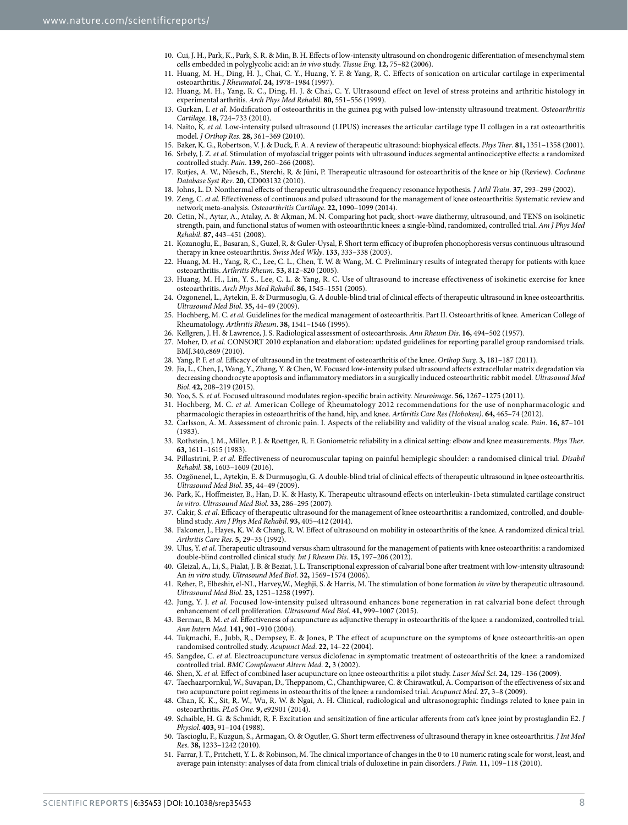- 10. Cui, J. H., Park, K., Park, S. R. & Min, B. H. Effects of low-intensity ultrasound on chondrogenic differentiation of mesenchymal stem cells embedded in polyglycolic acid: an *in vivo* study. *Tissue Eng*. **12,** 75–82 (2006).
- 11. Huang, M. H., Ding, H. J., Chai, C. Y., Huang, Y. F. & Yang, R. C. Effects of sonication on articular cartilage in experimental osteoarthritis. *J Rheumatol*. **24,** 1978–1984 (1997).
- 12. Huang, M. H., Yang, R. C., Ding, H. J. & Chai, C. Y. Ultrasound effect on level of stress proteins and arthritic histology in experimental arthritis. *Arch Phys Med Rehabil*. **80,** 551–556 (1999).
- 13. Gurkan, I. *et al.* Modification of osteoarthritis in the guinea pig with pulsed low-intensity ultrasound treatment. *Osteoarthritis Cartilage*. **18,** 724–733 (2010).
- 14. Naito, K. *et al.* Low-intensity pulsed ultrasound (LIPUS) increases the articular cartilage type II collagen in a rat osteoarthritis model. *J Orthop Res*. **28,** 361–369 (2010).
- <span id="page-7-0"></span>15. Baker, K. G., Robertson, V. J. & Duck, F. A. A review of therapeutic ultrasound: biophysical effects. *Phys Ther*. **81,** 1351–1358 (2001).
- 16. Srbely, J. Z. *et al.* Stimulation of myofascial trigger points with ultrasound induces segmental antinociceptive effects: a randomized controlled study. *Pain*. **139,** 260–266 (2008).
- 17. Rutjes, A. W., Nüesch, E., Sterchi, R. & Jüni, P. Therapeutic ultrasound for osteoarthritis of the knee or hip (Review). *Cochrane Database Syst Rev*. **20,** CD003132 (2010).
- 18. Johns, L. D. Nonthermal effects of therapeutic ultrasound:the frequency resonance hypothesis. *J Athl Train*. **37,** 293–299 (2002).
- <span id="page-7-1"></span>19. Zeng, C. *et al.* Effectiveness of continuous and pulsed ultrasound for the management of knee osteoarthritis: Systematic review and network meta-analysis. *Osteoarthritis Cartilage*. **22,** 1090–1099 (2014).
- <span id="page-7-2"></span>20. Cetin, N., Aytar, A., Atalay, A. & Akman, M. N. Comparing hot pack, short-wave diathermy, ultrasound, and TENS on isokinetic strength, pain, and functional status of women with osteoarthritic knees: a single-blind, randomized, controlled trial. *Am J Phys Med Rehabil*. **87,** 443–451 (2008).
- <span id="page-7-27"></span>21. Kozanoglu, E., Basaran, S., Guzel, R. & Guler-Uysal, F. Short term efficacy of ibuprofen phonophoresis versus continuous ultrasound therapy in knee osteoarthritis. *Swiss Med Wkly*. **133,** 333–338 (2003).
- <span id="page-7-12"></span>22. Huang, M. H., Yang, R. C., Lee, C. L., Chen, T. W. & Wang, M. C. Preliminary results of integrated therapy for patients with knee osteoarthritis. *Arthritis Rheum*. **53,** 812–820 (2005).
- <span id="page-7-15"></span>23. Huang, M. H., Lin, Y. S., Lee, C. L. & Yang, R. C. Use of ultrasound to increase effectiveness of isokinetic exercise for knee osteoarthritis. *Arch Phys Med Rehabil*. **86,** 1545–1551 (2005).
- <span id="page-7-28"></span>24. Ozgonenel, L., Aytekin, E. & Durmusoglu, G. A double-blind trial of clinical effects of therapeutic ultrasound in knee osteoarthritis. *Ultrasound Med Biol*. **35,** 44–49 (2009).
- <span id="page-7-3"></span>25. Hochberg, M. C. *et al.* Guidelines for the medical management of osteoarthritis. Part II. Osteoarthritis of knee. American College of Rheumatology. *Arthritis Rheum*. **38,** 1541–1546 (1995).
- <span id="page-7-4"></span>26. Kellgren, J. H. & Lawrence, J. S. Radiological assessment of osteoarthrosis. *Ann Rheum Dis*. **16,** 494–502 (1957).
- <span id="page-7-5"></span>27. Moher, D. *et al.* CONSORT 2010 explanation and elaboration: updated guidelines for reporting parallel group randomised trials. BMJ.340,c869 (2010).
- <span id="page-7-6"></span>28. Yang, P. F. *et al.* Efficacy of ultrasound in the treatment of osteoarthritis of the knee. *Orthop Surg*. **3,** 181–187 (2011).
- <span id="page-7-7"></span>29. Jia, L., Chen, J., Wang, Y., Zhang, Y. & Chen, W. Focused low-intensity pulsed ultrasound affects extracellular matrix degradation via decreasing chondrocyte apoptosis and inflammatory mediators in a surgically induced osteoarthritic rabbit model. *Ultrasound Med Biol*. **42,** 208–219 (2015).
- <span id="page-7-8"></span>30. Yoo, S. S. *et al.* Focused ultrasound modulates region-specific brain activity. *Neuroimage*. **56,** 1267–1275 (2011).
- <span id="page-7-9"></span>31. Hochberg, M. C. *et al.* American College of Rheumatology 2012 recommendations for the use of nonpharmacologic and pharmacologic therapies in osteoarthritis of the hand, hip, and knee. *Arthritis Care Res (Hoboken)*. **64,** 465–74 (2012).
- <span id="page-7-10"></span>32. Carlsson, A. M. Assessment of chronic pain. I. Aspects of the reliability and validity of the visual analog scale. *Pain*. **16,** 87–101 (1983).
- <span id="page-7-11"></span>33. Rothstein, J. M., Miller, P. J. & Roettger, R. F. Goniometric reliability in a clinical setting: elbow and knee measurements. *Phys Ther*. **63,** 1611–1615 (1983).
- <span id="page-7-13"></span>34. Pillastrini, P. *et al.* Effectiveness of neuromuscular taping on painful hemiplegic shoulder: a randomised clinical trial. *Disabil Rehabil*. **38,** 1603–1609 (2016).
- <span id="page-7-14"></span>35. Ozgönenel, L., Aytekin, E. & Durmuşoglu, G. A double-blind trial of clinical effects of therapeutic ultrasound in knee osteoarthritis. *Ultrasound Med Biol*. **35,** 44–49 (2009).
- <span id="page-7-16"></span>36. Park, K., Hoffmeister, B., Han, D. K. & Hasty, K. Therapeutic ultrasound effects on interleukin-1beta stimulated cartilage construct *in vitro*. *Ultrasound Med Biol*. **33,** 286–295 (2007).
- <span id="page-7-17"></span>37. Cakir, S. *et al.* Efficacy of therapeutic ultrasound for the management of knee osteoarthritis: a randomized, controlled, and doubleblind study. *Am J Phys Med Rehabil*. **93,** 405–412 (2014).
- <span id="page-7-19"></span>38. Falconer, J., Hayes, K. W. & Chang, R. W. Effect of ultrasound on mobility in osteoarthritis of the knee. A randomized clinical trial. *Arthritis Care Res*. **5,** 29–35 (1992).
- <span id="page-7-18"></span>39. Ulus, Y. *et al.* Therapeutic ultrasound versus sham ultrasound for the management of patients with knee osteoarthritis: a randomized double-blind controlled clinical study. *Int J Rheum Dis*. **15,** 197–206 (2012).
- <span id="page-7-20"></span>40. Gleizal, A., Li, S., Pialat, J. B. & Beziat, J. L. Transcriptional expression of calvarial bone after treatment with low-intensity ultrasound: An *in vitro* study. *Ultrasound Med Biol*. **32,** 1569–1574 (2006).
- <span id="page-7-21"></span>41. Reher, P., Elbeshir, el-NI., Harvey,W., Meghji, S. & Harris, M. The stimulation of bone formation *in vitro* by therapeutic ultrasound. *Ultrasound Med Biol*. **23,** 1251–1258 (1997).
- <span id="page-7-22"></span>42. Jung, Y. J. *et al.* Focused low-intensity pulsed ultrasound enhances bone regeneration in rat calvarial bone defect through enhancement of cell proliferation. *Ultrasound Med Biol*. **41,** 999–1007 (2015).
- <span id="page-7-23"></span>43. Berman, B. M. *et al.* Effectiveness of acupuncture as adjunctive therapy in osteoarthritis of the knee: a randomized, controlled trial. *Ann Intern Med*. **141,** 901–910 (2004).
- 44. Tukmachi, E., Jubb, R., Dempsey, E. & Jones, P. The effect of acupuncture on the symptoms of knee osteoarthritis-an open randomised controlled study. *Acupunct Med*. **22,** 14–22 (2004).
- 45. Sangdee, C. *et al.* Electroacupuncture versus diclofenac in symptomatic treatment of osteoarthritis of the knee: a randomized controlled trial. *BMC Complement Altern Med*. **2,** 3 (2002).
- 46. Shen, X. *et al.* Effect of combined laser acupuncture on knee osteoarthritis: a pilot study. *Laser Med Sci*. **24,** 129–136 (2009).
- <span id="page-7-24"></span>47. Taechaarpornkul, W., Suvapan, D., Theppanom, C., Chanthipwaree, C. & Chirawatkul, A. Comparison of the effectiveness of six and two acupuncture point regimens in osteoarthritis of the knee: a randomised trial. *Acupunct Med*. **27,** 3–8 (2009).
- <span id="page-7-25"></span>48. Chan, K. K., Sit, R. W., Wu, R. W. & Ngai, A. H. Clinical, radiological and ultrasonographic findings related to knee pain in osteoarthritis. *PLoS One*. **9,** e92901 (2014).
- <span id="page-7-26"></span>49. Schaible, H. G. & Schmidt, R. F. Excitation and sensitization of fine articular afferents from cat's knee joint by prostaglandin E2. *J Physiol*. **403,** 91–104 (1988).
- <span id="page-7-29"></span>50. Tascioglu, F., Kuzgun, S., Armagan, O. & Ogutler, G. Short term effectiveness of ultrasound therapy in knee osteoarthritis. *J Int Med Res*. **38,** 1233–1242 (2010).
- <span id="page-7-30"></span>51. Farrar, J. T., Pritchett, Y. L. & Robinson, M. The clinical importance of changes in the 0 to 10 numeric rating scale for worst, least, and average pain intensity: analyses of data from clinical trials of duloxetine in pain disorders. *J Pain.* **11,** 109–118 (2010).